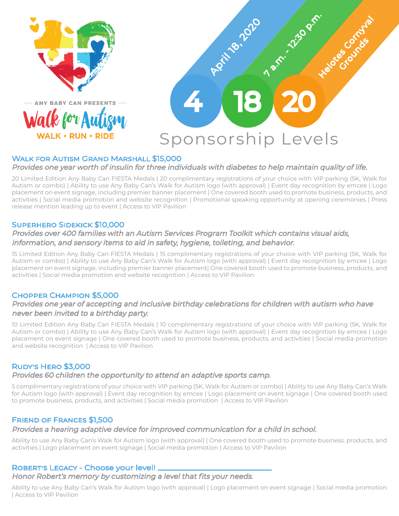

# Sponsorship Levels **April 18, 2020** Helotes Cornyla Grounds **7 a.m. - 12:30 p.m.** 18

#### Walk for Autism Grand Marshall \$15,000

#### Provides one year worth of insulin for three individuals with diabetes to help maintain quality of life.

20 Limited Edition Any Baby Can FIESTA Medals | 20 complimentary registrations of your choice with VIP parking (5K, Walk for Autism or combo) | Ability to use Any Baby Can's Walk for Autism logo (with approval) | Event day recognition by emcee | Logo placement on event signage, including premier banner placement | One covered booth used to promote business, products, and activities | Social media promotion and website recognition | Promotional speaking opportunity at opening ceremonies | Press release mention leading up to event | Access to VIP Pavilion

#### Superhero Sidekick \$10,000

#### Provides over 400 families with an Autism Services Program Toolkit which contains visual aids, information, and sensory items to aid in safety, hygiene, toileting, and behavior.

15 Limited Edition Any Baby Can FIESTA Medals | 15 complimentary registrations of your choice with VIP parking (5K, Walk for Autism or combo) | Ability to use Any Baby Can's Walk for Autism logo (with approval) | Event day recognition by emcee | Logo placement on event signage, including premier banner placement| One covered booth used to promote business, products, and activities | Social media promotion and website recognition | Access to VIP Pavilion

#### Chopper Champion \$5,000

#### Provides one year of accepting and inclusive birthday celebrations for children with autism who have never been invited to a birthday party.

10 Limited Edition Any Baby Can FIESTA Medals | 10 complimentary registrations of your choice with VIP parking (5K, Walk for Autism or combo) | Ability to use Any Baby Can's Walk for Autism logo (with approval) | Event day recognition by emcee | Logo placement on event signage | One covered booth used to promote business, products, and activities | Social media promotion and website recognition | Access to VIP Pavilion

#### Rudy's Hero \$3,000

#### Provides 60 children the opportunity to attend an adaptive sports camp.

5 complimentary registrations of your choice with VIP parking (5K, Walk for Autism or combo) | Ability to use Any Baby Can's Walk for Autism logo (with approval) | Event day recognition by emcee | Logo placement on event signage | One covered booth used to promote business, products, and activities | Social media promotion | Access to VIP Pavilion

#### Friend of Frances \$1,500

#### Provides a hearing adaptive device for improved communication for a child in school.

Ability to use Any Baby Can's Walk for Autism logo (with approval) | One covered booth used to promote business, products, and activities | Logo placement on event signage | Social media promotion | Access to VIP Pavilion

#### ROBERT'S LEGACY - Choose your level! \_

#### Honor Robert's memory by customizing a level that fits your needs.

Ability to use Any Baby Can's Walk for Autism logo (with approval) | Logo placement on event signage | Social media promotion | Access to VIP Pavilion

\_\_\_\_\_\_\_\_\_\_\_\_\_\_\_\_\_\_\_\_\_\_\_\_\_\_\_\_\_